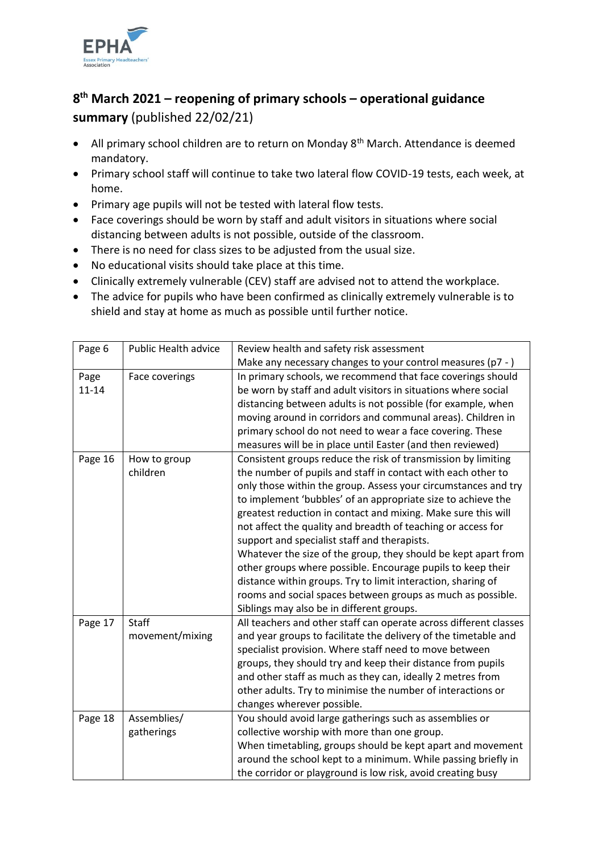

## **8 th March 2021 – reopening of primary schools – operational guidance summary** (published 22/02/21)

- All primary school children are to return on Monday 8<sup>th</sup> March. Attendance is deemed mandatory.
- Primary school staff will continue to take two lateral flow COVID-19 tests, each week, at home.
- Primary age pupils will not be tested with lateral flow tests.
- Face coverings should be worn by staff and adult visitors in situations where social distancing between adults is not possible, outside of the classroom.
- There is no need for class sizes to be adjusted from the usual size.
- No educational visits should take place at this time.
- Clinically extremely vulnerable (CEV) staff are advised not to attend the workplace.
- The advice for pupils who have been confirmed as clinically extremely vulnerable is to shield and stay at home as much as possible until further notice.

| Page 6  | <b>Public Health advice</b> | Review health and safety risk assessment                          |
|---------|-----------------------------|-------------------------------------------------------------------|
|         |                             | Make any necessary changes to your control measures (p7 - )       |
| Page    | Face coverings              | In primary schools, we recommend that face coverings should       |
| 11-14   |                             | be worn by staff and adult visitors in situations where social    |
|         |                             | distancing between adults is not possible (for example, when      |
|         |                             | moving around in corridors and communal areas). Children in       |
|         |                             | primary school do not need to wear a face covering. These         |
|         |                             | measures will be in place until Easter (and then reviewed)        |
| Page 16 | How to group                | Consistent groups reduce the risk of transmission by limiting     |
|         | children                    | the number of pupils and staff in contact with each other to      |
|         |                             | only those within the group. Assess your circumstances and try    |
|         |                             | to implement 'bubbles' of an appropriate size to achieve the      |
|         |                             | greatest reduction in contact and mixing. Make sure this will     |
|         |                             | not affect the quality and breadth of teaching or access for      |
|         |                             | support and specialist staff and therapists.                      |
|         |                             | Whatever the size of the group, they should be kept apart from    |
|         |                             | other groups where possible. Encourage pupils to keep their       |
|         |                             | distance within groups. Try to limit interaction, sharing of      |
|         |                             | rooms and social spaces between groups as much as possible.       |
|         |                             | Siblings may also be in different groups.                         |
| Page 17 | <b>Staff</b>                | All teachers and other staff can operate across different classes |
|         | movement/mixing             | and year groups to facilitate the delivery of the timetable and   |
|         |                             | specialist provision. Where staff need to move between            |
|         |                             | groups, they should try and keep their distance from pupils       |
|         |                             | and other staff as much as they can, ideally 2 metres from        |
|         |                             | other adults. Try to minimise the number of interactions or       |
|         |                             | changes wherever possible.                                        |
| Page 18 | Assemblies/                 | You should avoid large gatherings such as assemblies or           |
|         | gatherings                  | collective worship with more than one group.                      |
|         |                             | When timetabling, groups should be kept apart and movement        |
|         |                             | around the school kept to a minimum. While passing briefly in     |
|         |                             | the corridor or playground is low risk, avoid creating busy       |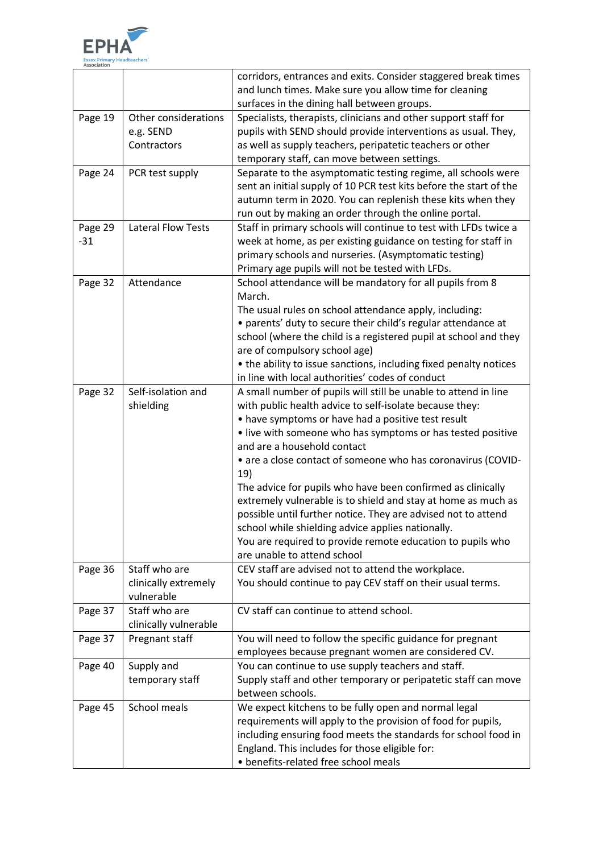

| and lunch times. Make sure you allow time for cleaning<br>surfaces in the dining hall between groups.<br>Page 19<br>Other considerations<br>Specialists, therapists, clinicians and other support staff for<br>pupils with SEND should provide interventions as usual. They,<br>e.g. SEND<br>Contractors<br>as well as supply teachers, peripatetic teachers or other<br>temporary staff, can move between settings.<br>Page 24<br>PCR test supply<br>Separate to the asymptomatic testing regime, all schools were<br>sent an initial supply of 10 PCR test kits before the start of the<br>autumn term in 2020. You can replenish these kits when they<br>run out by making an order through the online portal.<br>Page 29<br><b>Lateral Flow Tests</b><br>Staff in primary schools will continue to test with LFDs twice a<br>week at home, as per existing guidance on testing for staff in<br>$-31$<br>primary schools and nurseries. (Asymptomatic testing)<br>Primary age pupils will not be tested with LFDs.<br>Page 32<br>Attendance<br>School attendance will be mandatory for all pupils from 8<br>March.<br>The usual rules on school attendance apply, including:<br>• parents' duty to secure their child's regular attendance at<br>school (where the child is a registered pupil at school and they<br>are of compulsory school age)<br>• the ability to issue sanctions, including fixed penalty notices<br>in line with local authorities' codes of conduct<br>Self-isolation and<br>Page 32<br>A small number of pupils will still be unable to attend in line<br>with public health advice to self-isolate because they:<br>shielding<br>• have symptoms or have had a positive test result<br>• live with someone who has symptoms or has tested positive<br>and are a household contact<br>• are a close contact of someone who has coronavirus (COVID-<br>19)<br>The advice for pupils who have been confirmed as clinically<br>extremely vulnerable is to shield and stay at home as much as<br>possible until further notice. They are advised not to attend<br>school while shielding advice applies nationally.<br>You are required to provide remote education to pupils who<br>are unable to attend school<br>Page 36<br>Staff who are<br>CEV staff are advised not to attend the workplace.<br>You should continue to pay CEV staff on their usual terms.<br>clinically extremely<br>vulnerable |
|--------------------------------------------------------------------------------------------------------------------------------------------------------------------------------------------------------------------------------------------------------------------------------------------------------------------------------------------------------------------------------------------------------------------------------------------------------------------------------------------------------------------------------------------------------------------------------------------------------------------------------------------------------------------------------------------------------------------------------------------------------------------------------------------------------------------------------------------------------------------------------------------------------------------------------------------------------------------------------------------------------------------------------------------------------------------------------------------------------------------------------------------------------------------------------------------------------------------------------------------------------------------------------------------------------------------------------------------------------------------------------------------------------------------------------------------------------------------------------------------------------------------------------------------------------------------------------------------------------------------------------------------------------------------------------------------------------------------------------------------------------------------------------------------------------------------------------------------------------------------------------------------------------------------------------------------------------------------------------------------------------------------------------------------------------------------------------------------------------------------------------------------------------------------------------------------------------------------------------------------------------------------------------------------------------------------------------------------------------------------------------------------------------------------------------|
|                                                                                                                                                                                                                                                                                                                                                                                                                                                                                                                                                                                                                                                                                                                                                                                                                                                                                                                                                                                                                                                                                                                                                                                                                                                                                                                                                                                                                                                                                                                                                                                                                                                                                                                                                                                                                                                                                                                                                                                                                                                                                                                                                                                                                                                                                                                                                                                                                                |
|                                                                                                                                                                                                                                                                                                                                                                                                                                                                                                                                                                                                                                                                                                                                                                                                                                                                                                                                                                                                                                                                                                                                                                                                                                                                                                                                                                                                                                                                                                                                                                                                                                                                                                                                                                                                                                                                                                                                                                                                                                                                                                                                                                                                                                                                                                                                                                                                                                |
|                                                                                                                                                                                                                                                                                                                                                                                                                                                                                                                                                                                                                                                                                                                                                                                                                                                                                                                                                                                                                                                                                                                                                                                                                                                                                                                                                                                                                                                                                                                                                                                                                                                                                                                                                                                                                                                                                                                                                                                                                                                                                                                                                                                                                                                                                                                                                                                                                                |
|                                                                                                                                                                                                                                                                                                                                                                                                                                                                                                                                                                                                                                                                                                                                                                                                                                                                                                                                                                                                                                                                                                                                                                                                                                                                                                                                                                                                                                                                                                                                                                                                                                                                                                                                                                                                                                                                                                                                                                                                                                                                                                                                                                                                                                                                                                                                                                                                                                |
|                                                                                                                                                                                                                                                                                                                                                                                                                                                                                                                                                                                                                                                                                                                                                                                                                                                                                                                                                                                                                                                                                                                                                                                                                                                                                                                                                                                                                                                                                                                                                                                                                                                                                                                                                                                                                                                                                                                                                                                                                                                                                                                                                                                                                                                                                                                                                                                                                                |
|                                                                                                                                                                                                                                                                                                                                                                                                                                                                                                                                                                                                                                                                                                                                                                                                                                                                                                                                                                                                                                                                                                                                                                                                                                                                                                                                                                                                                                                                                                                                                                                                                                                                                                                                                                                                                                                                                                                                                                                                                                                                                                                                                                                                                                                                                                                                                                                                                                |
|                                                                                                                                                                                                                                                                                                                                                                                                                                                                                                                                                                                                                                                                                                                                                                                                                                                                                                                                                                                                                                                                                                                                                                                                                                                                                                                                                                                                                                                                                                                                                                                                                                                                                                                                                                                                                                                                                                                                                                                                                                                                                                                                                                                                                                                                                                                                                                                                                                |
|                                                                                                                                                                                                                                                                                                                                                                                                                                                                                                                                                                                                                                                                                                                                                                                                                                                                                                                                                                                                                                                                                                                                                                                                                                                                                                                                                                                                                                                                                                                                                                                                                                                                                                                                                                                                                                                                                                                                                                                                                                                                                                                                                                                                                                                                                                                                                                                                                                |
|                                                                                                                                                                                                                                                                                                                                                                                                                                                                                                                                                                                                                                                                                                                                                                                                                                                                                                                                                                                                                                                                                                                                                                                                                                                                                                                                                                                                                                                                                                                                                                                                                                                                                                                                                                                                                                                                                                                                                                                                                                                                                                                                                                                                                                                                                                                                                                                                                                |
|                                                                                                                                                                                                                                                                                                                                                                                                                                                                                                                                                                                                                                                                                                                                                                                                                                                                                                                                                                                                                                                                                                                                                                                                                                                                                                                                                                                                                                                                                                                                                                                                                                                                                                                                                                                                                                                                                                                                                                                                                                                                                                                                                                                                                                                                                                                                                                                                                                |
|                                                                                                                                                                                                                                                                                                                                                                                                                                                                                                                                                                                                                                                                                                                                                                                                                                                                                                                                                                                                                                                                                                                                                                                                                                                                                                                                                                                                                                                                                                                                                                                                                                                                                                                                                                                                                                                                                                                                                                                                                                                                                                                                                                                                                                                                                                                                                                                                                                |
|                                                                                                                                                                                                                                                                                                                                                                                                                                                                                                                                                                                                                                                                                                                                                                                                                                                                                                                                                                                                                                                                                                                                                                                                                                                                                                                                                                                                                                                                                                                                                                                                                                                                                                                                                                                                                                                                                                                                                                                                                                                                                                                                                                                                                                                                                                                                                                                                                                |
|                                                                                                                                                                                                                                                                                                                                                                                                                                                                                                                                                                                                                                                                                                                                                                                                                                                                                                                                                                                                                                                                                                                                                                                                                                                                                                                                                                                                                                                                                                                                                                                                                                                                                                                                                                                                                                                                                                                                                                                                                                                                                                                                                                                                                                                                                                                                                                                                                                |
|                                                                                                                                                                                                                                                                                                                                                                                                                                                                                                                                                                                                                                                                                                                                                                                                                                                                                                                                                                                                                                                                                                                                                                                                                                                                                                                                                                                                                                                                                                                                                                                                                                                                                                                                                                                                                                                                                                                                                                                                                                                                                                                                                                                                                                                                                                                                                                                                                                |
|                                                                                                                                                                                                                                                                                                                                                                                                                                                                                                                                                                                                                                                                                                                                                                                                                                                                                                                                                                                                                                                                                                                                                                                                                                                                                                                                                                                                                                                                                                                                                                                                                                                                                                                                                                                                                                                                                                                                                                                                                                                                                                                                                                                                                                                                                                                                                                                                                                |
|                                                                                                                                                                                                                                                                                                                                                                                                                                                                                                                                                                                                                                                                                                                                                                                                                                                                                                                                                                                                                                                                                                                                                                                                                                                                                                                                                                                                                                                                                                                                                                                                                                                                                                                                                                                                                                                                                                                                                                                                                                                                                                                                                                                                                                                                                                                                                                                                                                |
|                                                                                                                                                                                                                                                                                                                                                                                                                                                                                                                                                                                                                                                                                                                                                                                                                                                                                                                                                                                                                                                                                                                                                                                                                                                                                                                                                                                                                                                                                                                                                                                                                                                                                                                                                                                                                                                                                                                                                                                                                                                                                                                                                                                                                                                                                                                                                                                                                                |
|                                                                                                                                                                                                                                                                                                                                                                                                                                                                                                                                                                                                                                                                                                                                                                                                                                                                                                                                                                                                                                                                                                                                                                                                                                                                                                                                                                                                                                                                                                                                                                                                                                                                                                                                                                                                                                                                                                                                                                                                                                                                                                                                                                                                                                                                                                                                                                                                                                |
|                                                                                                                                                                                                                                                                                                                                                                                                                                                                                                                                                                                                                                                                                                                                                                                                                                                                                                                                                                                                                                                                                                                                                                                                                                                                                                                                                                                                                                                                                                                                                                                                                                                                                                                                                                                                                                                                                                                                                                                                                                                                                                                                                                                                                                                                                                                                                                                                                                |
|                                                                                                                                                                                                                                                                                                                                                                                                                                                                                                                                                                                                                                                                                                                                                                                                                                                                                                                                                                                                                                                                                                                                                                                                                                                                                                                                                                                                                                                                                                                                                                                                                                                                                                                                                                                                                                                                                                                                                                                                                                                                                                                                                                                                                                                                                                                                                                                                                                |
|                                                                                                                                                                                                                                                                                                                                                                                                                                                                                                                                                                                                                                                                                                                                                                                                                                                                                                                                                                                                                                                                                                                                                                                                                                                                                                                                                                                                                                                                                                                                                                                                                                                                                                                                                                                                                                                                                                                                                                                                                                                                                                                                                                                                                                                                                                                                                                                                                                |
|                                                                                                                                                                                                                                                                                                                                                                                                                                                                                                                                                                                                                                                                                                                                                                                                                                                                                                                                                                                                                                                                                                                                                                                                                                                                                                                                                                                                                                                                                                                                                                                                                                                                                                                                                                                                                                                                                                                                                                                                                                                                                                                                                                                                                                                                                                                                                                                                                                |
|                                                                                                                                                                                                                                                                                                                                                                                                                                                                                                                                                                                                                                                                                                                                                                                                                                                                                                                                                                                                                                                                                                                                                                                                                                                                                                                                                                                                                                                                                                                                                                                                                                                                                                                                                                                                                                                                                                                                                                                                                                                                                                                                                                                                                                                                                                                                                                                                                                |
|                                                                                                                                                                                                                                                                                                                                                                                                                                                                                                                                                                                                                                                                                                                                                                                                                                                                                                                                                                                                                                                                                                                                                                                                                                                                                                                                                                                                                                                                                                                                                                                                                                                                                                                                                                                                                                                                                                                                                                                                                                                                                                                                                                                                                                                                                                                                                                                                                                |
|                                                                                                                                                                                                                                                                                                                                                                                                                                                                                                                                                                                                                                                                                                                                                                                                                                                                                                                                                                                                                                                                                                                                                                                                                                                                                                                                                                                                                                                                                                                                                                                                                                                                                                                                                                                                                                                                                                                                                                                                                                                                                                                                                                                                                                                                                                                                                                                                                                |
|                                                                                                                                                                                                                                                                                                                                                                                                                                                                                                                                                                                                                                                                                                                                                                                                                                                                                                                                                                                                                                                                                                                                                                                                                                                                                                                                                                                                                                                                                                                                                                                                                                                                                                                                                                                                                                                                                                                                                                                                                                                                                                                                                                                                                                                                                                                                                                                                                                |
|                                                                                                                                                                                                                                                                                                                                                                                                                                                                                                                                                                                                                                                                                                                                                                                                                                                                                                                                                                                                                                                                                                                                                                                                                                                                                                                                                                                                                                                                                                                                                                                                                                                                                                                                                                                                                                                                                                                                                                                                                                                                                                                                                                                                                                                                                                                                                                                                                                |
|                                                                                                                                                                                                                                                                                                                                                                                                                                                                                                                                                                                                                                                                                                                                                                                                                                                                                                                                                                                                                                                                                                                                                                                                                                                                                                                                                                                                                                                                                                                                                                                                                                                                                                                                                                                                                                                                                                                                                                                                                                                                                                                                                                                                                                                                                                                                                                                                                                |
|                                                                                                                                                                                                                                                                                                                                                                                                                                                                                                                                                                                                                                                                                                                                                                                                                                                                                                                                                                                                                                                                                                                                                                                                                                                                                                                                                                                                                                                                                                                                                                                                                                                                                                                                                                                                                                                                                                                                                                                                                                                                                                                                                                                                                                                                                                                                                                                                                                |
|                                                                                                                                                                                                                                                                                                                                                                                                                                                                                                                                                                                                                                                                                                                                                                                                                                                                                                                                                                                                                                                                                                                                                                                                                                                                                                                                                                                                                                                                                                                                                                                                                                                                                                                                                                                                                                                                                                                                                                                                                                                                                                                                                                                                                                                                                                                                                                                                                                |
|                                                                                                                                                                                                                                                                                                                                                                                                                                                                                                                                                                                                                                                                                                                                                                                                                                                                                                                                                                                                                                                                                                                                                                                                                                                                                                                                                                                                                                                                                                                                                                                                                                                                                                                                                                                                                                                                                                                                                                                                                                                                                                                                                                                                                                                                                                                                                                                                                                |
|                                                                                                                                                                                                                                                                                                                                                                                                                                                                                                                                                                                                                                                                                                                                                                                                                                                                                                                                                                                                                                                                                                                                                                                                                                                                                                                                                                                                                                                                                                                                                                                                                                                                                                                                                                                                                                                                                                                                                                                                                                                                                                                                                                                                                                                                                                                                                                                                                                |
|                                                                                                                                                                                                                                                                                                                                                                                                                                                                                                                                                                                                                                                                                                                                                                                                                                                                                                                                                                                                                                                                                                                                                                                                                                                                                                                                                                                                                                                                                                                                                                                                                                                                                                                                                                                                                                                                                                                                                                                                                                                                                                                                                                                                                                                                                                                                                                                                                                |
|                                                                                                                                                                                                                                                                                                                                                                                                                                                                                                                                                                                                                                                                                                                                                                                                                                                                                                                                                                                                                                                                                                                                                                                                                                                                                                                                                                                                                                                                                                                                                                                                                                                                                                                                                                                                                                                                                                                                                                                                                                                                                                                                                                                                                                                                                                                                                                                                                                |
|                                                                                                                                                                                                                                                                                                                                                                                                                                                                                                                                                                                                                                                                                                                                                                                                                                                                                                                                                                                                                                                                                                                                                                                                                                                                                                                                                                                                                                                                                                                                                                                                                                                                                                                                                                                                                                                                                                                                                                                                                                                                                                                                                                                                                                                                                                                                                                                                                                |
|                                                                                                                                                                                                                                                                                                                                                                                                                                                                                                                                                                                                                                                                                                                                                                                                                                                                                                                                                                                                                                                                                                                                                                                                                                                                                                                                                                                                                                                                                                                                                                                                                                                                                                                                                                                                                                                                                                                                                                                                                                                                                                                                                                                                                                                                                                                                                                                                                                |
|                                                                                                                                                                                                                                                                                                                                                                                                                                                                                                                                                                                                                                                                                                                                                                                                                                                                                                                                                                                                                                                                                                                                                                                                                                                                                                                                                                                                                                                                                                                                                                                                                                                                                                                                                                                                                                                                                                                                                                                                                                                                                                                                                                                                                                                                                                                                                                                                                                |
|                                                                                                                                                                                                                                                                                                                                                                                                                                                                                                                                                                                                                                                                                                                                                                                                                                                                                                                                                                                                                                                                                                                                                                                                                                                                                                                                                                                                                                                                                                                                                                                                                                                                                                                                                                                                                                                                                                                                                                                                                                                                                                                                                                                                                                                                                                                                                                                                                                |
| Staff who are<br>CV staff can continue to attend school.<br>Page 37                                                                                                                                                                                                                                                                                                                                                                                                                                                                                                                                                                                                                                                                                                                                                                                                                                                                                                                                                                                                                                                                                                                                                                                                                                                                                                                                                                                                                                                                                                                                                                                                                                                                                                                                                                                                                                                                                                                                                                                                                                                                                                                                                                                                                                                                                                                                                            |
| clinically vulnerable                                                                                                                                                                                                                                                                                                                                                                                                                                                                                                                                                                                                                                                                                                                                                                                                                                                                                                                                                                                                                                                                                                                                                                                                                                                                                                                                                                                                                                                                                                                                                                                                                                                                                                                                                                                                                                                                                                                                                                                                                                                                                                                                                                                                                                                                                                                                                                                                          |
| Pregnant staff<br>You will need to follow the specific guidance for pregnant<br>Page 37                                                                                                                                                                                                                                                                                                                                                                                                                                                                                                                                                                                                                                                                                                                                                                                                                                                                                                                                                                                                                                                                                                                                                                                                                                                                                                                                                                                                                                                                                                                                                                                                                                                                                                                                                                                                                                                                                                                                                                                                                                                                                                                                                                                                                                                                                                                                        |
| employees because pregnant women are considered CV.                                                                                                                                                                                                                                                                                                                                                                                                                                                                                                                                                                                                                                                                                                                                                                                                                                                                                                                                                                                                                                                                                                                                                                                                                                                                                                                                                                                                                                                                                                                                                                                                                                                                                                                                                                                                                                                                                                                                                                                                                                                                                                                                                                                                                                                                                                                                                                            |
|                                                                                                                                                                                                                                                                                                                                                                                                                                                                                                                                                                                                                                                                                                                                                                                                                                                                                                                                                                                                                                                                                                                                                                                                                                                                                                                                                                                                                                                                                                                                                                                                                                                                                                                                                                                                                                                                                                                                                                                                                                                                                                                                                                                                                                                                                                                                                                                                                                |
| You can continue to use supply teachers and staff.<br>Page 40<br>Supply and                                                                                                                                                                                                                                                                                                                                                                                                                                                                                                                                                                                                                                                                                                                                                                                                                                                                                                                                                                                                                                                                                                                                                                                                                                                                                                                                                                                                                                                                                                                                                                                                                                                                                                                                                                                                                                                                                                                                                                                                                                                                                                                                                                                                                                                                                                                                                    |
| temporary staff<br>Supply staff and other temporary or peripatetic staff can move                                                                                                                                                                                                                                                                                                                                                                                                                                                                                                                                                                                                                                                                                                                                                                                                                                                                                                                                                                                                                                                                                                                                                                                                                                                                                                                                                                                                                                                                                                                                                                                                                                                                                                                                                                                                                                                                                                                                                                                                                                                                                                                                                                                                                                                                                                                                              |
| between schools.                                                                                                                                                                                                                                                                                                                                                                                                                                                                                                                                                                                                                                                                                                                                                                                                                                                                                                                                                                                                                                                                                                                                                                                                                                                                                                                                                                                                                                                                                                                                                                                                                                                                                                                                                                                                                                                                                                                                                                                                                                                                                                                                                                                                                                                                                                                                                                                                               |
| Page 45<br>School meals<br>We expect kitchens to be fully open and normal legal                                                                                                                                                                                                                                                                                                                                                                                                                                                                                                                                                                                                                                                                                                                                                                                                                                                                                                                                                                                                                                                                                                                                                                                                                                                                                                                                                                                                                                                                                                                                                                                                                                                                                                                                                                                                                                                                                                                                                                                                                                                                                                                                                                                                                                                                                                                                                |
| requirements will apply to the provision of food for pupils,                                                                                                                                                                                                                                                                                                                                                                                                                                                                                                                                                                                                                                                                                                                                                                                                                                                                                                                                                                                                                                                                                                                                                                                                                                                                                                                                                                                                                                                                                                                                                                                                                                                                                                                                                                                                                                                                                                                                                                                                                                                                                                                                                                                                                                                                                                                                                                   |
| including ensuring food meets the standards for school food in                                                                                                                                                                                                                                                                                                                                                                                                                                                                                                                                                                                                                                                                                                                                                                                                                                                                                                                                                                                                                                                                                                                                                                                                                                                                                                                                                                                                                                                                                                                                                                                                                                                                                                                                                                                                                                                                                                                                                                                                                                                                                                                                                                                                                                                                                                                                                                 |
| England. This includes for those eligible for:                                                                                                                                                                                                                                                                                                                                                                                                                                                                                                                                                                                                                                                                                                                                                                                                                                                                                                                                                                                                                                                                                                                                                                                                                                                                                                                                                                                                                                                                                                                                                                                                                                                                                                                                                                                                                                                                                                                                                                                                                                                                                                                                                                                                                                                                                                                                                                                 |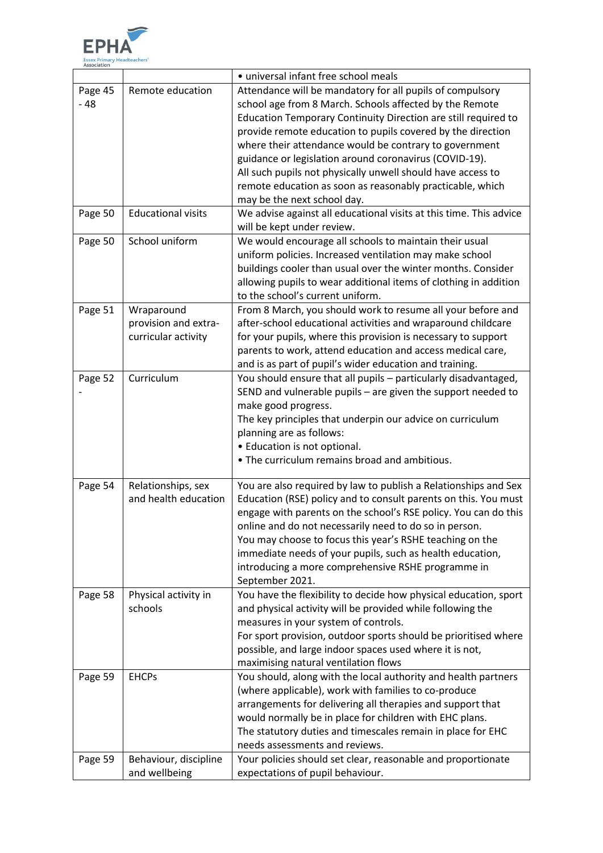

|         |                           | · universal infant free school meals                               |
|---------|---------------------------|--------------------------------------------------------------------|
| Page 45 | Remote education          | Attendance will be mandatory for all pupils of compulsory          |
| $-48$   |                           | school age from 8 March. Schools affected by the Remote            |
|         |                           | Education Temporary Continuity Direction are still required to     |
|         |                           | provide remote education to pupils covered by the direction        |
|         |                           | where their attendance would be contrary to government             |
|         |                           | guidance or legislation around coronavirus (COVID-19).             |
|         |                           | All such pupils not physically unwell should have access to        |
|         |                           | remote education as soon as reasonably practicable, which          |
|         |                           | may be the next school day.                                        |
| Page 50 | <b>Educational visits</b> | We advise against all educational visits at this time. This advice |
|         |                           | will be kept under review.                                         |
| Page 50 | School uniform            | We would encourage all schools to maintain their usual             |
|         |                           | uniform policies. Increased ventilation may make school            |
|         |                           | buildings cooler than usual over the winter months. Consider       |
|         |                           | allowing pupils to wear additional items of clothing in addition   |
|         |                           | to the school's current uniform.                                   |
| Page 51 | Wraparound                | From 8 March, you should work to resume all your before and        |
|         | provision and extra-      | after-school educational activities and wraparound childcare       |
|         | curricular activity       | for your pupils, where this provision is necessary to support      |
|         |                           | parents to work, attend education and access medical care,         |
|         |                           | and is as part of pupil's wider education and training.            |
| Page 52 | Curriculum                | You should ensure that all pupils - particularly disadvantaged,    |
|         |                           | SEND and vulnerable pupils - are given the support needed to       |
|         |                           | make good progress.                                                |
|         |                           | The key principles that underpin our advice on curriculum          |
|         |                           | planning are as follows:                                           |
|         |                           | • Education is not optional.                                       |
|         |                           | . The curriculum remains broad and ambitious.                      |
|         |                           |                                                                    |
| Page 54 | Relationships, sex        | You are also required by law to publish a Relationships and Sex    |
|         | and health education      | Education (RSE) policy and to consult parents on this. You must    |
|         |                           | engage with parents on the school's RSE policy. You can do this    |
|         |                           | online and do not necessarily need to do so in person.             |
|         |                           | You may choose to focus this year's RSHE teaching on the           |
|         |                           | immediate needs of your pupils, such as health education,          |
|         |                           | introducing a more comprehensive RSHE programme in                 |
|         |                           | September 2021.                                                    |
| Page 58 | Physical activity in      | You have the flexibility to decide how physical education, sport   |
|         | schools                   | and physical activity will be provided while following the         |
|         |                           | measures in your system of controls.                               |
|         |                           | For sport provision, outdoor sports should be prioritised where    |
|         |                           | possible, and large indoor spaces used where it is not,            |
|         |                           | maximising natural ventilation flows                               |
| Page 59 | <b>EHCPs</b>              | You should, along with the local authority and health partners     |
|         |                           | (where applicable), work with families to co-produce               |
|         |                           | arrangements for delivering all therapies and support that         |
|         |                           | would normally be in place for children with EHC plans.            |
|         |                           | The statutory duties and timescales remain in place for EHC        |
|         |                           | needs assessments and reviews.                                     |
| Page 59 | Behaviour, discipline     | Your policies should set clear, reasonable and proportionate       |
|         | and wellbeing             | expectations of pupil behaviour.                                   |